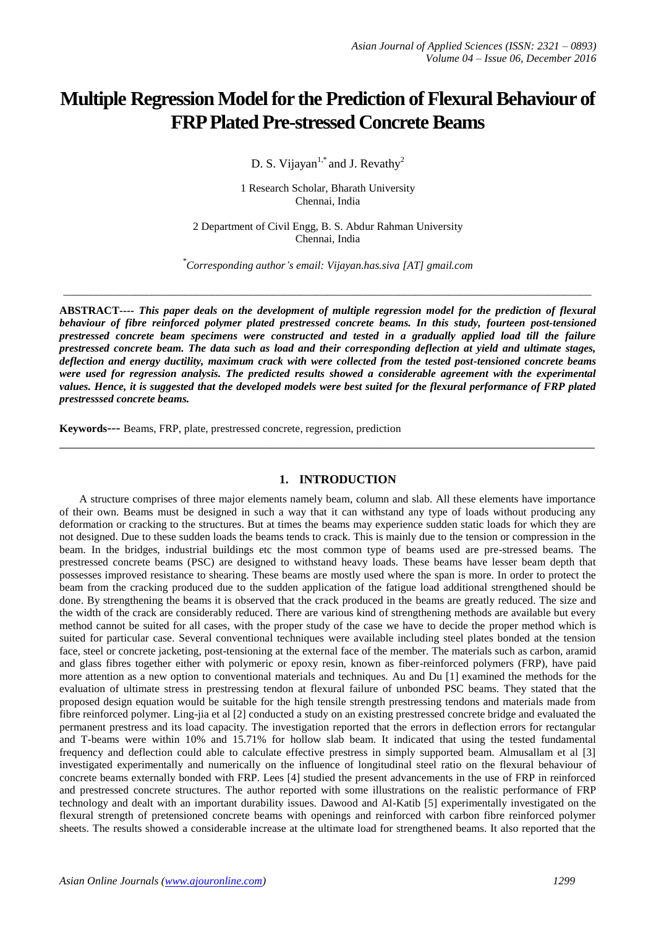# **Multiple Regression Model for the Prediction of Flexural Behaviour of FRPPlated Pre-stressed Concrete Beams**

D. S. Vijayan<sup>1,\*</sup> and J. Revathy<sup>2</sup>

1 Research Scholar, Bharath University Chennai, India

2 Department of Civil Engg, B. S. Abdur Rahman University Chennai, India

*\* Corresponding author's email: Vijayan.has.siva [AT] gmail.com*

\_\_\_\_\_\_\_\_\_\_\_\_\_\_\_\_\_\_\_\_\_\_\_\_\_\_\_\_\_\_\_\_\_\_\_\_\_\_\_\_\_\_\_\_\_\_\_\_\_\_\_\_\_\_\_\_\_\_\_\_\_\_\_\_\_\_\_\_\_\_\_\_\_\_\_\_\_\_\_\_\_\_\_\_\_\_\_\_\_\_\_\_\_\_\_\_

**ABSTRACT----** *This paper deals on the development of multiple regression model for the prediction of flexural behaviour of fibre reinforced polymer plated prestressed concrete beams. In this study, fourteen post-tensioned prestressed concrete beam specimens were constructed and tested in a gradually applied load till the failure prestressed concrete beam. The data such as load and their corresponding deflection at yield and ultimate stages, deflection and energy ductility, maximum crack with were collected from the tested post-tensioned concrete beams were used for regression analysis. The predicted results showed a considerable agreement with the experimental values. Hence, it is suggested that the developed models were best suited for the flexural performance of FRP plated prestresssed concrete beams.*

**Keywords**--- Beams, FRP, plate, prestressed concrete, regression, prediction

## **1. INTRODUCTION**

**\_\_\_\_\_\_\_\_\_\_\_\_\_\_\_\_\_\_\_\_\_\_\_\_\_\_\_\_\_\_\_\_\_\_\_\_\_\_\_\_\_\_\_\_\_\_\_\_\_\_\_\_\_\_\_\_\_\_\_\_\_\_\_\_\_\_\_\_\_\_\_\_\_\_\_\_\_\_\_\_\_**

A structure comprises of three major elements namely beam, column and slab. All these elements have importance of their own. Beams must be designed in such a way that it can withstand any type of loads without producing any deformation or cracking to the structures. But at times the beams may experience sudden static loads for which they are not designed. Due to these sudden loads the beams tends to crack. This is mainly due to the tension or compression in the beam. In the bridges, industrial buildings etc the most common type of beams used are pre-stressed beams. The prestressed concrete beams (PSC) are designed to withstand heavy loads. These beams have lesser beam depth that possesses improved resistance to shearing. These beams are mostly used where the span is more. In order to protect the beam from the cracking produced due to the sudden application of the fatigue load additional strengthened should be done. By strengthening the beams it is observed that the crack produced in the beams are greatly reduced. The size and the width of the crack are considerably reduced. There are various kind of strengthening methods are available but every method cannot be suited for all cases, with the proper study of the case we have to decide the proper method which is suited for particular case. Several conventional techniques were available including steel plates bonded at the tension face, steel or concrete jacketing, post-tensioning at the external face of the member. The materials such as carbon, aramid and glass fibres together either with polymeric or epoxy resin, known as fiber-reinforced polymers (FRP), have paid more attention as a new option to conventional materials and techniques. Au and Du [1] examined the methods for the evaluation of ultimate stress in prestressing tendon at flexural failure of unbonded PSC beams. They stated that the proposed design equation would be suitable for the high tensile strength prestressing tendons and materials made from fibre reinforced polymer. Ling-jia et al [2] conducted a study on an existing prestressed concrete bridge and evaluated the permanent prestress and its load capacity. The investigation reported that the errors in deflection errors for rectangular and T-beams were within 10% and 15.71% for hollow slab beam. It indicated that using the tested fundamental frequency and deflection could able to calculate effective prestress in simply supported beam. Almusallam et al [3] investigated experimentally and numerically on the influence of longitudinal steel ratio on the flexural behaviour of concrete beams externally bonded with FRP. Lees [4] studied the present advancements in the use of FRP in reinforced and prestressed concrete structures. The author reported with some illustrations on the realistic performance of FRP technology and dealt with an important durability issues. Dawood and Al-Katib [5] experimentally investigated on the flexural strength of pretensioned concrete beams with openings and reinforced with carbon fibre reinforced polymer sheets. The results showed a considerable increase at the ultimate load for strengthened beams. It also reported that the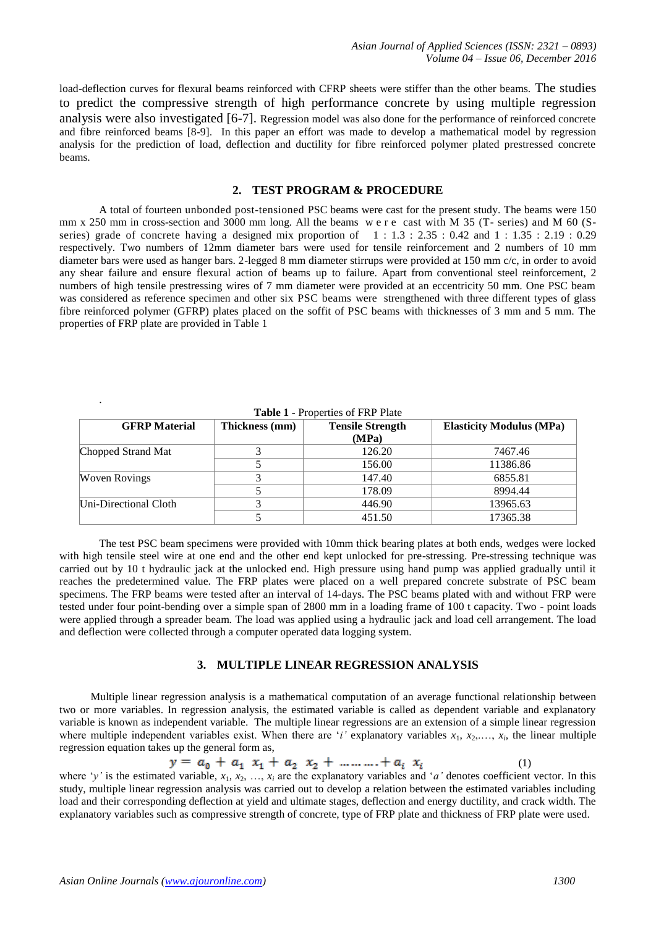load-deflection curves for flexural beams reinforced with CFRP sheets were stiffer than the other beams. The studies to predict the compressive strength of high performance concrete by using multiple regression analysis were also investigated [6-7]. Regression model was also done for the performance of reinforced concrete and fibre reinforced beams [8-9]. In this paper an effort was made to develop a mathematical model by regression analysis for the prediction of load, deflection and ductility for fibre reinforced polymer plated prestressed concrete beams.

## **2. TEST PROGRAM & PROCEDURE**

A total of fourteen unbonded post-tensioned PSC beams were cast for the present study. The beams were 150 mm x 250 mm in cross-section and 3000 mm long. All the beams w e r e cast with M 35 (T- series) and M 60 (Sseries) grade of concrete having a designed mix proportion of 1 : 1.3 : 2.35 : 0.42 and 1 : 1.35 : 2.19 : 0.29 respectively. Two numbers of 12mm diameter bars were used for tensile reinforcement and 2 numbers of 10 mm diameter bars were used as hanger bars. 2-legged 8 mm diameter stirrups were provided at 150 mm c/c, in order to avoid any shear failure and ensure flexural action of beams up to failure. Apart from conventional steel reinforcement, 2 numbers of high tensile prestressing wires of 7 mm diameter were provided at an eccentricity 50 mm. One PSC beam was considered as reference specimen and other six PSC beams were strengthened with three different types of glass fibre reinforced polymer (GFRP) plates placed on the soffit of PSC beams with thicknesses of 3 mm and 5 mm. The properties of FRP plate are provided in Table 1

| <b>GFRP</b> Material  | Thickness (mm) | <b>Tensile Strength</b><br>(MPa) | <b>Elasticity Modulus (MPa)</b> |
|-----------------------|----------------|----------------------------------|---------------------------------|
| Chopped Strand Mat    |                | 126.20                           | 7467.46                         |
|                       |                | 156.00                           | 11386.86                        |
| Woven Rovings         |                | 147.40                           | 6855.81                         |
|                       |                | 178.09                           | 8994.44                         |
| Uni-Directional Cloth |                | 446.90                           | 13965.63                        |
|                       |                | 451.50                           | 17365.38                        |

**Table 1 -** Properties of FRP Plate

The test PSC beam specimens were provided with 10mm thick bearing plates at both ends, wedges were locked with high tensile steel wire at one end and the other end kept unlocked for pre-stressing. Pre-stressing technique was carried out by 10 t hydraulic jack at the unlocked end. High pressure using hand pump was applied gradually until it reaches the predetermined value. The FRP plates were placed on a well prepared concrete substrate of PSC beam specimens. The FRP beams were tested after an interval of 14-days. The PSC beams plated with and without FRP were tested under four point-bending over a simple span of 2800 mm in a loading frame of 100 t capacity. Two - point loads were applied through a spreader beam. The load was applied using a hydraulic jack and load cell arrangement. The load and deflection were collected through a computer operated data logging system.

#### **3. MULTIPLE LINEAR REGRESSION ANALYSIS**

Multiple linear regression analysis is a mathematical computation of an average functional relationship between two or more variables. In regression analysis, the estimated variable is called as dependent variable and explanatory variable is known as independent variable. The multiple linear regressions are an extension of a simple linear regression where multiple independent variables exist. When there are '*i*' explanatory variables  $x_1, x_2,..., x_i$ , the linear multiple regression equation takes up the general form as,

$$
y = a_0 + a_1 x_1 + a_2 x_2 + \dots + a_i x_i \tag{1}
$$

where 'y' is the estimated variable,  $x_1, x_2, ..., x_i$  are the explanatory variables and '*a*' denotes coefficient vector. In this study, multiple linear regression analysis was carried out to develop a relation between the estimated variables including load and their corresponding deflection at yield and ultimate stages, deflection and energy ductility, and crack width. The explanatory variables such as compressive strength of concrete, type of FRP plate and thickness of FRP plate were used.

.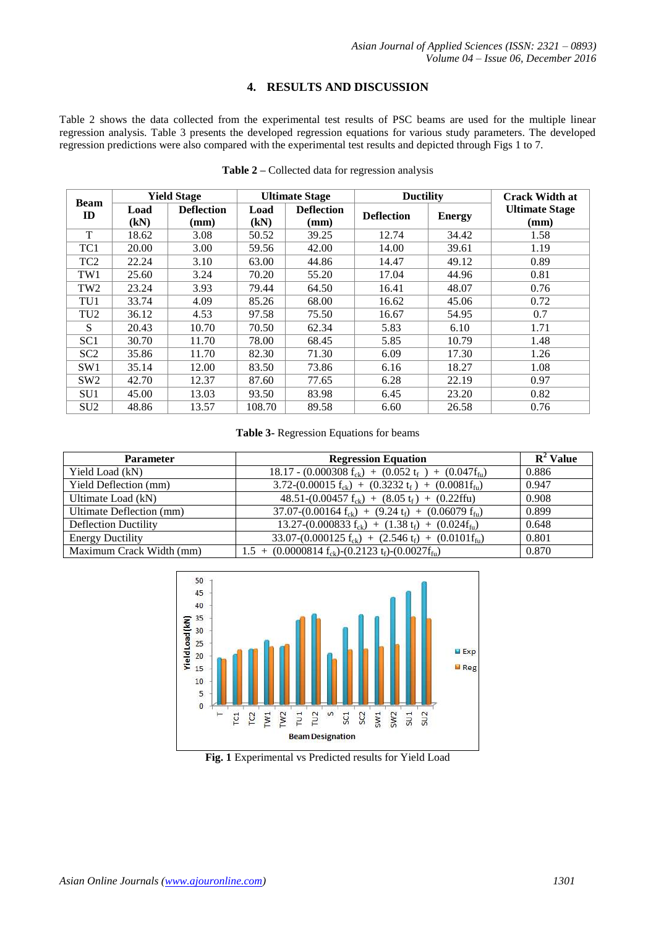# **4. RESULTS AND DISCUSSION**

Table 2 shows the data collected from the experimental test results of PSC beams are used for the multiple linear regression analysis. Table 3 presents the developed regression equations for various study parameters. The developed regression predictions were also compared with the experimental test results and depicted through Figs 1 to 7.

|                             | <b>Yield Stage</b> |                           | <b>Ultimate Stage</b> |                           | <b>Ductility</b>  |               | <b>Crack Width at</b>         |
|-----------------------------|--------------------|---------------------------|-----------------------|---------------------------|-------------------|---------------|-------------------------------|
| <b>Beam</b><br>$\mathbf{D}$ | Load<br>(kN)       | <b>Deflection</b><br>(mm) | Load<br>(kN)          | <b>Deflection</b><br>(mm) | <b>Deflection</b> | <b>Energy</b> | <b>Ultimate Stage</b><br>(mm) |
| T                           | 18.62              | 3.08                      | 50.52                 | 39.25                     | 12.74             | 34.42         | 1.58                          |
| TC1                         | 20.00              | 3.00                      | 59.56                 | 42.00                     | 14.00             | 39.61         | 1.19                          |
| TC <sub>2</sub>             | 22.24              | 3.10                      | 63.00                 | 44.86                     | 14.47             | 49.12         | 0.89                          |
| TW1                         | 25.60              | 3.24                      | 70.20                 | 55.20                     | 17.04             | 44.96         | 0.81                          |
| TW <sub>2</sub>             | 23.24              | 3.93                      | 79.44                 | 64.50                     | 16.41             | 48.07         | 0.76                          |
| TU1                         | 33.74              | 4.09                      | 85.26                 | 68.00                     | 16.62             | 45.06         | 0.72                          |
| TU <sub>2</sub>             | 36.12              | 4.53                      | 97.58                 | 75.50                     | 16.67             | 54.95         | 0.7                           |
| S                           | 20.43              | 10.70                     | 70.50                 | 62.34                     | 5.83              | 6.10          | 1.71                          |
| SC <sub>1</sub>             | 30.70              | 11.70                     | 78.00                 | 68.45                     | 5.85              | 10.79         | 1.48                          |
| SC <sub>2</sub>             | 35.86              | 11.70                     | 82.30                 | 71.30                     | 6.09              | 17.30         | 1.26                          |
| SW1                         | 35.14              | 12.00                     | 83.50                 | 73.86                     | 6.16              | 18.27         | 1.08                          |
| SW2                         | 42.70              | 12.37                     | 87.60                 | 77.65                     | 6.28              | 22.19         | 0.97                          |
| SU <sub>1</sub>             | 45.00              | 13.03                     | 93.50                 | 83.98                     | 6.45              | 23.20         | 0.82                          |
| SU <sub>2</sub>             | 48.86              | 13.57                     | 108.70                | 89.58                     | 6.60              | 26.58         | 0.76                          |

**Table 2 –** Collected data for regression analysis

| Table 3- Regression Equations for beams |  |
|-----------------------------------------|--|
|                                         |  |

| <b>Parameter</b>            | <b>Regression Equation</b>                                        | $\mathbf{R}^2$ Value |
|-----------------------------|-------------------------------------------------------------------|----------------------|
| Yield Load (kN)             | 18.17 - (0.000308 $f_{ck}$ ) + (0.052 $t_f$ ) + (0.047 $f_{fu}$ ) | 0.886                |
| Yield Deflection (mm)       | 3.72-(0.00015 $f_{ck}$ ) + (0.3232 $t_f$ ) + (0.0081 $f_{fu}$ )   | 0.947                |
| Ultimate Load (kN)          | $48.51-(0.00457 f_{ck}) + (8.05 f_f) + (0.22ffu)$                 | 0.908                |
| Ultimate Deflection (mm)    | 37.07-(0.00164 $f_{ck}$ ) + (9.24 $t_f$ ) + (0.06079 $f_{fu}$ )   | 0.899                |
| <b>Deflection Ductility</b> | 13.27-(0.000833 $f_{ck}$ ) + (1.38 $t_f$ ) + (0.024 $f_{fu}$ )    | 0.648                |
| <b>Energy Ductility</b>     | 33.07- $(0.000125 f_{ck})$ + $(2.546 f_f)$ + $(0.0101 f_{fu})$    | 0.801                |
| Maximum Crack Width (mm)    | $1.5 + (0.0000814 f_{ck}) - (0.2123 f_f) - (0.0027 f_{fu})$       | 0.870                |



**Fig. 1** Experimental vs Predicted results for Yield Load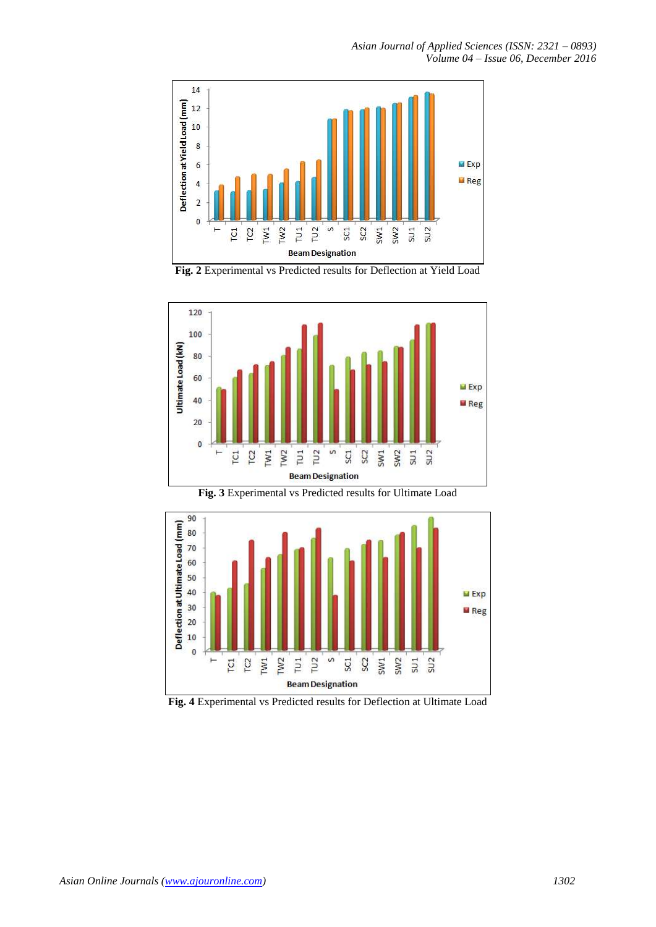*Asian Journal of Applied Sciences (ISSN: 2321 – 0893) Volume 04 – Issue 06, December 2016*



**Fig. 2** Experimental vs Predicted results for Deflection at Yield Load







**Fig. 4** Experimental vs Predicted results for Deflection at Ultimate Load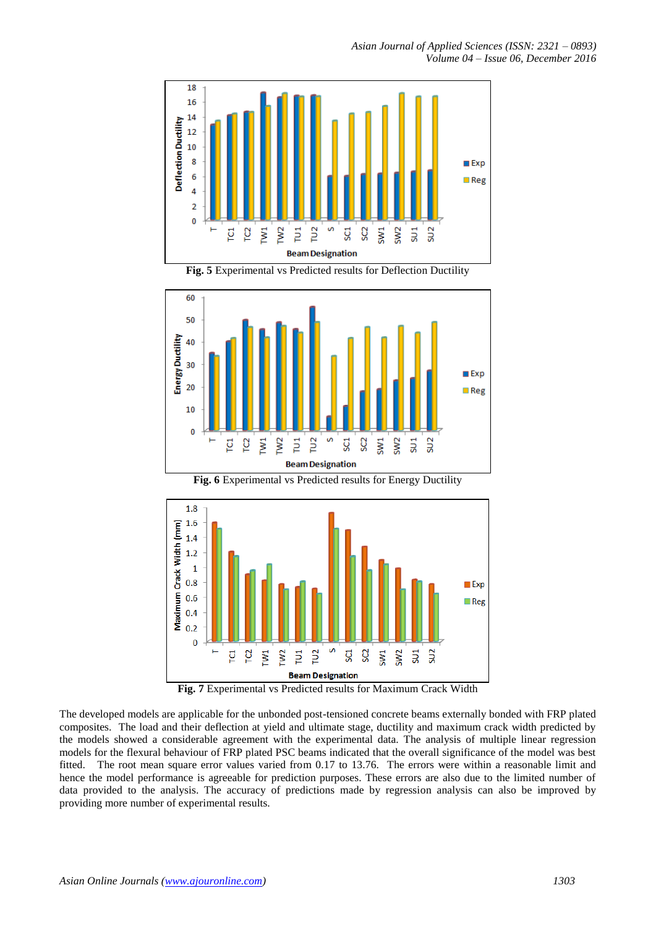

**Fig. 5** Experimental vs Predicted results for Deflection Ductility



**Fig. 6** Experimental vs Predicted results for Energy Ductility



**Fig. 7** Experimental vs Predicted results for Maximum Crack Width

The developed models are applicable for the unbonded post-tensioned concrete beams externally bonded with FRP plated composites. The load and their deflection at yield and ultimate stage, ductility and maximum crack width predicted by the models showed a considerable agreement with the experimental data. The analysis of multiple linear regression models for the flexural behaviour of FRP plated PSC beams indicated that the overall significance of the model was best fitted. The root mean square error values varied from 0.17 to 13.76. The errors were within a reasonable limit and hence the model performance is agreeable for prediction purposes. These errors are also due to the limited number of data provided to the analysis. The accuracy of predictions made by regression analysis can also be improved by providing more number of experimental results.